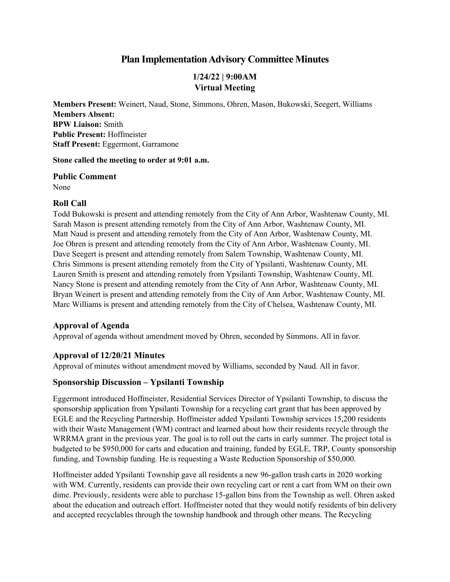## **Plan Implementation Advisory Committee Minutes**

### **1/24/22 | 9:00AM Virtual Meeting**

**Members Present:** Weinert, Naud, Stone, Simmons, Ohren, Mason, Bukowski, Seegert, Williams **Members Absent: BPW Liaison:** Smith **Public Present:** Hoffmeister **Staff Present:** Eggermont, Garramone

**Stone called the meeting to order at 9:01 a.m.**

**Public Comment** None

#### **Roll Call**

Todd Bukowski is present and attending remotely from the City of Ann Arbor, Washtenaw County, MI. Sarah Mason is present attending remotely from the City of Ann Arbor, Washtenaw County, MI. Matt Naud is present and attending remotely from the City of Ann Arbor, Washtenaw County, MI. Joe Ohren is present and attending remotely from the City of Ann Arbor, Washtenaw County, MI. Dave Seegert is present and attending remotely from Salem Township, Washtenaw County, MI. Chris Simmons is present attending remotely from the City of Ypsilanti, Washtenaw County, MI. Lauren Smith is present and attending remotely from Ypsilanti Township, Washtenaw County, MI. Nancy Stone is present and attending remotely from the City of Ann Arbor, Washtenaw County, MI. Bryan Weinert is present and attending remotely from the City of Ann Arbor, Washtenaw County, MI. Marc Williams is present and attending remotely from the City of Chelsea, Washtenaw County, MI.

#### **Approval of Agenda**

Approval of agenda without amendment moved by Ohren, seconded by Simmons. All in favor.

#### **Approval of 12/20/21 Minutes**

Approval of minutes without amendment moved by Williams, seconded by Naud. All in favor.

#### **Sponsorship Discussion – Ypsilanti Township**

Eggermont introduced Hoffmeister, Residential Services Director of Ypsilanti Township, to discuss the sponsorship application from Ypsilanti Township for a recycling cart grant that has been approved by EGLE and the Recycling Partnership. Hoffmeister added Ypsilanti Township services 15,200 residents with their Waste Management (WM) contract and learned about how their residents recycle through the WRRMA grant in the previous year. The goal is to roll out the carts in early summer. The project total is budgeted to be \$950,000 for carts and education and training, funded by EGLE, TRP, County sponsorship funding, and Township funding. He is requesting a Waste Reduction Sponsorship of \$50,000.

Hoffmeister added Ypsilanti Township gave all residents a new 96-gallon trash carts in 2020 working with WM. Currently, residents can provide their own recycling cart or rent a cart from WM on their own dime. Previously, residents were able to purchase 15-gallon bins from the Township as well. Ohren asked about the education and outreach effort. Hoffmeister noted that they would notify residents of bin delivery and accepted recyclables through the township handbook and through other means. The Recycling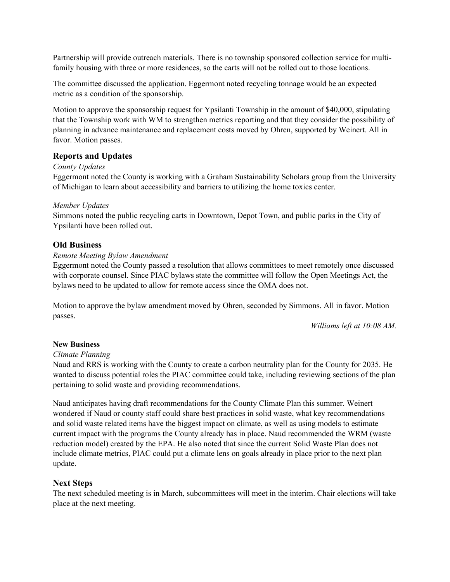Partnership will provide outreach materials. There is no township sponsored collection service for multifamily housing with three or more residences, so the carts will not be rolled out to those locations.

The committee discussed the application. Eggermont noted recycling tonnage would be an expected metric as a condition of the sponsorship.

Motion to approve the sponsorship request for Ypsilanti Township in the amount of \$40,000, stipulating that the Township work with WM to strengthen metrics reporting and that they consider the possibility of planning in advance maintenance and replacement costs moved by Ohren, supported by Weinert. All in favor. Motion passes.

#### **Reports and Updates**

#### *County Updates*

Eggermont noted the County is working with a Graham Sustainability Scholars group from the University of Michigan to learn about accessibility and barriers to utilizing the home toxics center.

#### *Member Updates*

Simmons noted the public recycling carts in Downtown, Depot Town, and public parks in the City of Ypsilanti have been rolled out.

#### **Old Business**

#### *Remote Meeting Bylaw Amendment*

Eggermont noted the County passed a resolution that allows committees to meet remotely once discussed with corporate counsel. Since PIAC bylaws state the committee will follow the Open Meetings Act, the bylaws need to be updated to allow for remote access since the OMA does not.

Motion to approve the bylaw amendment moved by Ohren, seconded by Simmons. All in favor. Motion passes.

*Williams left at 10:08 AM.* 

#### **New Business**

#### *Climate Planning*

Naud and RRS is working with the County to create a carbon neutrality plan for the County for 2035. He wanted to discuss potential roles the PIAC committee could take, including reviewing sections of the plan pertaining to solid waste and providing recommendations.

Naud anticipates having draft recommendations for the County Climate Plan this summer. Weinert wondered if Naud or county staff could share best practices in solid waste, what key recommendations and solid waste related items have the biggest impact on climate, as well as using models to estimate current impact with the programs the County already has in place. Naud recommended the WRM (waste reduction model) created by the EPA. He also noted that since the current Solid Waste Plan does not include climate metrics, PIAC could put a climate lens on goals already in place prior to the next plan update.

#### **Next Steps**

The next scheduled meeting is in March, subcommittees will meet in the interim. Chair elections will take place at the next meeting.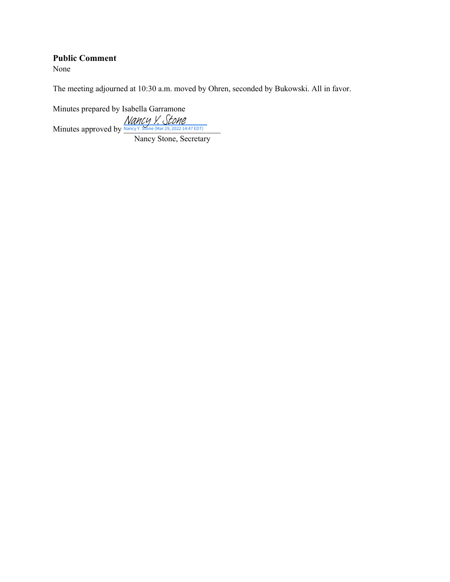#### **Public Comment**

None

The meeting adjourned at 10:30 a.m. moved by Ohren, seconded by Bukowski. All in favor.

Minutes prepared by Isabella Garramone Mancy Y. Stone (Mances 2022 14:47 EDT)

Nancy Stone, Secretary